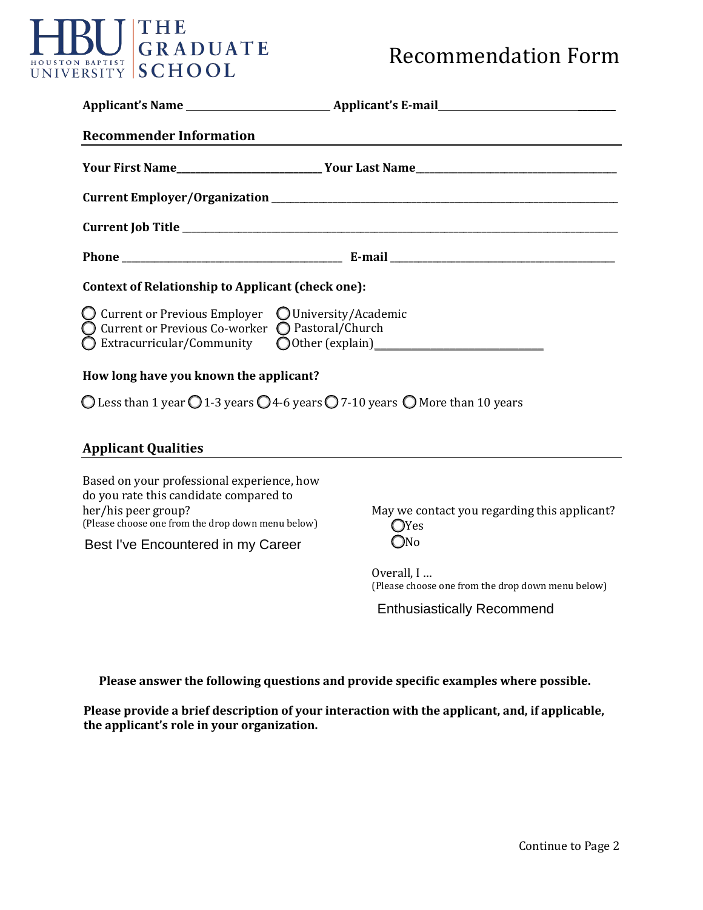## HBU GRADUATE

| <b>Recommender Information</b>                                                                                                                                                                         |                                                                                 |
|--------------------------------------------------------------------------------------------------------------------------------------------------------------------------------------------------------|---------------------------------------------------------------------------------|
|                                                                                                                                                                                                        |                                                                                 |
|                                                                                                                                                                                                        |                                                                                 |
|                                                                                                                                                                                                        |                                                                                 |
|                                                                                                                                                                                                        |                                                                                 |
| <b>Context of Relationship to Applicant (check one):</b>                                                                                                                                               |                                                                                 |
| $\bigcirc$ Current or Previous Employer $\bigcirc$ University/Academic<br>◯ Current or Previous Co-worker ◯ Pastoral/Church<br>$\bigcirc$ Extracurricular/Community                                    |                                                                                 |
| How long have you known the applicant?                                                                                                                                                                 |                                                                                 |
| O Less than 1 year O 1-3 years O 4-6 years O 7-10 years O More than 10 years                                                                                                                           |                                                                                 |
| <b>Applicant Qualities</b>                                                                                                                                                                             |                                                                                 |
| Based on your professional experience, how<br>do you rate this candidate compared to<br>her/his peer group?<br>(Please choose one from the drop down menu below)<br>Best I've Encountered in my Career | May we contact you regarding this applicant?<br>$\bigcirc$ Yes<br>$\bigcirc$ No |
|                                                                                                                                                                                                        | Overall, I<br>(Please choose one from the drop down menu below)                 |
|                                                                                                                                                                                                        | <b>Enthusiastically Recommend</b>                                               |
|                                                                                                                                                                                                        |                                                                                 |
| Please answer the following questions and provide specific examples where possible.                                                                                                                    |                                                                                 |

**Please provide a brief description of your interaction with the applicant, and, if applicable, the applicant's role in your organization.**